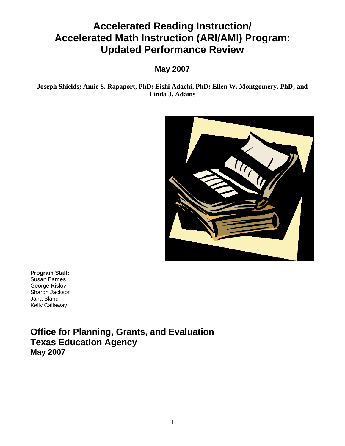# **Accelerated Reading Instruction/ Accelerated Math Instruction (ARI/AMI) Program: Updated Performance Review**

## **May 2007**

**Joseph Shields; Amie S. Rapaport, PhD; Eishi Adachi, PhD; Ellen W. Montgomery, PhD; and Linda J. Adams** 



**Program Staff:**  Susan Barnes George Rislov Sharon Jackson Jana Bland Kelly Callaway

**Office for Planning, Grants, and Evaluation Texas Education Agency May 2007**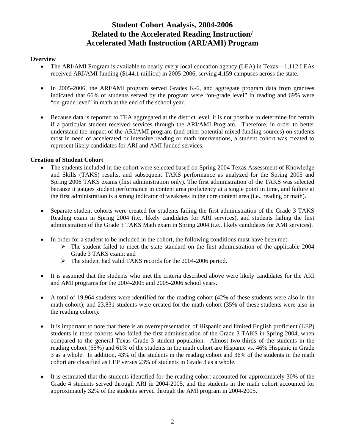### **Student Cohort Analysis, 2004-2006 Related to the Accelerated Reading Instruction/ Accelerated Math Instruction (ARI/AMI) Program**

#### **Overview**

- The ARI/AMI Program is available to nearly every local education agency (LEA) in Texas—1,112 LEAs received ARI/AMI funding (\$144.1 million) in 2005-2006, serving 4,159 campuses across the state.
- In 2005-2006, the ARI/AMI program served Grades K-6, and aggregate program data from grantees indicated that 66% of students served by the program were "on-grade level" in reading and 69% were "on-grade level" in math at the end of the school year.
- Because data is reported to TEA aggregated at the district level, it is not possible to determine for certain if a particular student received services through the ARI/AMI Program. Therefore, in order to better understand the impact of the ARI/AMI program (and other potential mixed funding sources) on students most in need of accelerated or intensive reading or math interventions, a student cohort was created to represent likely candidates for ARI and AMI funded services.

#### **Creation of Student Cohort**

- The students included in the cohort were selected based on Spring 2004 Texas Assessment of Knowledge and Skills (TAKS) results, and subsequent TAKS performance as analyzed for the Spring 2005 and Spring 2006 TAKS exams (first administration only). The first administration of the TAKS was selected because it gauges student performance in content area proficiency at a single point in time, and failure at the first administration is a strong indicator of weakness in the core content area (i.e., reading or math).
- Separate student cohorts were created for students failing the first administration of the Grade 3 TAKS Reading exam in Spring 2004 (i.e., likely candidates for ARI services), and students failing the first administration of the Grade 3 TAKS Math exam in Spring 2004 (i.e., likely candidates for AMI services).
- In order for a student to be included in the cohort, the following conditions must have been met:
	- $\triangleright$  The student failed to meet the state standard on the first administration of the applicable 2004 Grade 3 TAKS exam; and
	- ¾ The student had valid TAKS records for the 2004-2006 period.
- It is assumed that the students who met the criteria described above were likely candidates for the ARI and AMI programs for the 2004-2005 and 2005-2006 school years.
- A total of 19,964 students were identified for the reading cohort (42% of these students were also in the math cohort); and 23,831 students were created for the math cohort (35% of these students were also in the reading cohort).
- It is important to note that there is an overrepresentation of Hispanic and limited English proficient (LEP) students in these cohorts who failed the first administration of the Grade 3 TAKS in Spring 2004, when compared to the general Texas Grade 3 student population. Almost two-thirds of the students in the reading cohort (65%) and 61% of the students in the math cohort are Hispanic vs. 46% Hispanic in Grade 3 as a whole. In addition, 43% of the students in the reading cohort and 36% of the students in the math cohort are classified as LEP versus 23% of students in Grade 3 as a whole.
- It is estimated that the students identified for the reading cohort accounted for approximately 30% of the Grade 4 students served through ARI in 2004-2005, and the students in the math cohort accounted for approximately 32% of the students served through the AMI program in 2004-2005.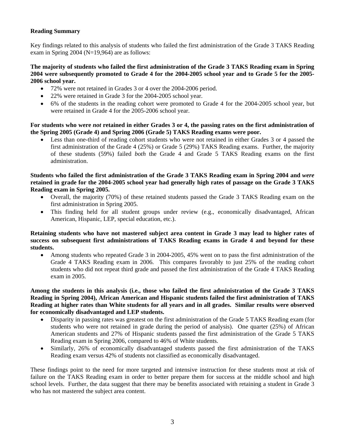#### **Reading Summary**

Key findings related to this analysis of students who failed the first administration of the Grade 3 TAKS Reading exam in Spring 2004 (N=19,964) are as follows:

#### **The majority of students who failed the first administration of the Grade 3 TAKS Reading exam in Spring 2004 were subsequently promoted to Grade 4 for the 2004-2005 school year and to Grade 5 for the 2005- 2006 school year.**

- 72% were not retained in Grades 3 or 4 over the 2004-2006 period.
- 22% were retained in Grade 3 for the 2004-2005 school year.
- 6% of the students in the reading cohort were promoted to Grade 4 for the 2004-2005 school year, but were retained in Grade 4 for the 2005-2006 school year.

**For students who were** *not* **retained in either Grades 3 or 4, the passing rates on the first administration of the Spring 2005 (Grade 4) and Spring 2006 (Grade 5) TAKS Reading exams were poor.** 

Less than one-third of reading cohort students who were not retained in either Grades 3 or 4 passed the first administration of the Grade 4 (25%) or Grade 5 (29%) TAKS Reading exams. Further, the majority of these students (59%) failed *both* the Grade 4 and Grade 5 TAKS Reading exams on the first administration.

#### **Students who failed the first administration of the Grade 3 TAKS Reading exam in Spring 2004 and** *were* **retained in grade for the 2004-2005 school year had generally high rates of passage on the Grade 3 TAKS Reading exam in Spring 2005.**

- Overall, the majority (70%) of these retained students passed the Grade 3 TAKS Reading exam on the first administration in Spring 2005.
- This finding held for all student groups under review (e.g., economically disadvantaged, African American, Hispanic, LEP, special education, etc.).

#### **Retaining students who have not mastered subject area content in Grade 3 may lead to higher rates of success on subsequent first administrations of TAKS Reading exams in Grade 4 and beyond for these students.**

• Among students who repeated Grade 3 in 2004-2005, 45% went on to pass the first administration of the Grade 4 TAKS Reading exam in 2006. This compares favorably to just 25% of the reading cohort students who did not repeat third grade and passed the first administration of the Grade 4 TAKS Reading exam in 2005.

#### **Among the students in this analysis (i.e., those who failed the first administration of the Grade 3 TAKS Reading in Spring 2004), African American and Hispanic students failed the first administration of TAKS Reading at higher rates than White students for all years and in all grades. Similar results were observed for economically disadvantaged and LEP students.**

- Disparity in passing rates was greatest on the first administration of the Grade 5 TAKS Reading exam (for students who were not retained in grade during the period of analysis). One quarter (25%) of African American students and 27% of Hispanic students passed the first administration of the Grade 5 TAKS Reading exam in Spring 2006, compared to 46% of White students.
- Similarly, 26% of economically disadvantaged students passed the first administration of the TAKS Reading exam versus 42% of students not classified as economically disadvantaged.

These findings point to the need for more targeted and intensive instruction for these students most at risk of failure on the TAKS Reading exam in order to better prepare them for success at the middle school and high school levels. Further, the data suggest that there may be benefits associated with retaining a student in Grade 3 who has not mastered the subject area content.